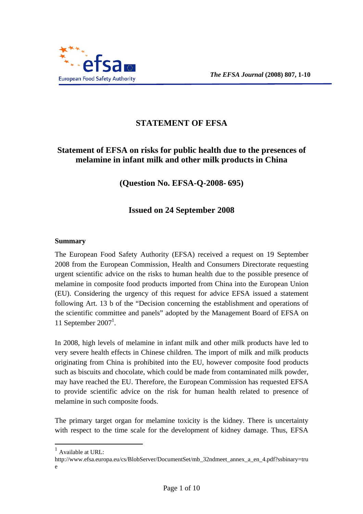

## **STATEMENT OF EFSA**

# **Statement of EFSA on risks for public health due to the presences of melamine in infant milk and other milk products in China**

**(Question No. EFSA-Q-2008- 695)** 

## **Issued on 24 September 2008**

#### **Summary**

The European Food Safety Authority (EFSA) received a request on 19 September 2008 from the European Commission, Health and Consumers Directorate requesting urgent scientific advice on the risks to human health due to the possible presence of melamine in composite food products imported from China into the European Union (EU). Considering the urgency of this request for advice EFSA issued a statement following Art. 13 b of the "Decision concerning the establishment and operations of the scientific committee and panels" adopted by the Management Board of EFSA on 11 September  $2007<sup>1</sup>$ .

In 2008, high levels of melamine in infant milk and other milk products have led to very severe health effects in Chinese children. The import of milk and milk products originating from China is prohibited into the EU, however composite food products such as biscuits and chocolate, which could be made from contaminated milk powder, may have reached the EU. Therefore, the European Commission has requested EFSA to provide scientific advice on the risk for human health related to presence of melamine in such composite foods.

The primary target organ for melamine toxicity is the kidney. There is uncertainty with respect to the time scale for the development of kidney damage. Thus, EFSA

 $<sup>1</sup>$  Available at URL:</sup>

http://www.efsa.europa.eu/cs/BlobServer/DocumentSet/mb\_32ndmeet\_annex\_a\_en\_4.pdf?ssbinary=tru e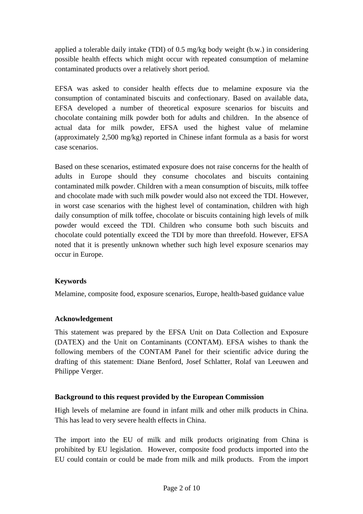applied a tolerable daily intake (TDI) of 0.5 mg/kg body weight (b.w.) in considering possible health effects which might occur with repeated consumption of melamine contaminated products over a relatively short period.

EFSA was asked to consider health effects due to melamine exposure via the consumption of contaminated biscuits and confectionary. Based on available data, EFSA developed a number of theoretical exposure scenarios for biscuits and chocolate containing milk powder both for adults and children. In the absence of actual data for milk powder, EFSA used the highest value of melamine (approximately 2,500 mg/kg) reported in Chinese infant formula as a basis for worst case scenarios.

Based on these scenarios, estimated exposure does not raise concerns for the health of adults in Europe should they consume chocolates and biscuits containing contaminated milk powder. Children with a mean consumption of biscuits, milk toffee and chocolate made with such milk powder would also not exceed the TDI. However, in worst case scenarios with the highest level of contamination, children with high daily consumption of milk toffee, chocolate or biscuits containing high levels of milk powder would exceed the TDI. Children who consume both such biscuits and chocolate could potentially exceed the TDI by more than threefold. However, EFSA noted that it is presently unknown whether such high level exposure scenarios may occur in Europe.

## **Keywords**

Melamine, composite food, exposure scenarios, Europe, health-based guidance value

## **Acknowledgement**

This statement was prepared by the EFSA Unit on Data Collection and Exposure (DATEX) and the Unit on Contaminants (CONTAM). EFSA wishes to thank the following members of the CONTAM Panel for their scientific advice during the drafting of this statement: Diane Benford, Josef Schlatter, Rolaf van Leeuwen and Philippe Verger.

## **Background to this request provided by the European Commission**

High levels of melamine are found in infant milk and other milk products in China. This has lead to very severe health effects in China.

The import into the EU of milk and milk products originating from China is prohibited by EU legislation. However, composite food products imported into the EU could contain or could be made from milk and milk products. From the import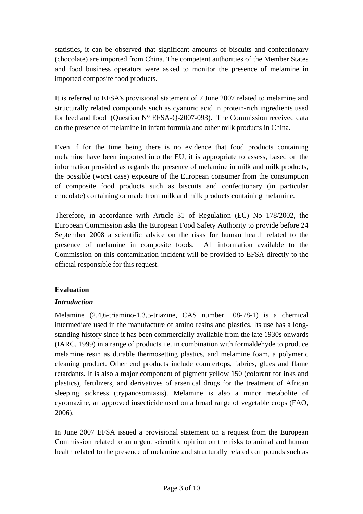statistics, it can be observed that significant amounts of biscuits and confectionary (chocolate) are imported from China. The competent authorities of the Member States and food business operators were asked to monitor the presence of melamine in imported composite food products.

It is referred to EFSA's provisional statement of 7 June 2007 related to melamine and structurally related compounds such as cyanuric acid in protein-rich ingredients used for feed and food (Question  $N^{\circ}$  EFSA-Q-2007-093). The Commission received data on the presence of melamine in infant formula and other milk products in China.

Even if for the time being there is no evidence that food products containing melamine have been imported into the EU, it is appropriate to assess, based on the information provided as regards the presence of melamine in milk and milk products, the possible (worst case) exposure of the European consumer from the consumption of composite food products such as biscuits and confectionary (in particular chocolate) containing or made from milk and milk products containing melamine.

Therefore, in accordance with Article 31 of Regulation (EC) No 178/2002, the European Commission asks the European Food Safety Authority to provide before 24 September 2008 a scientific advice on the risks for human health related to the presence of melamine in composite foods. All information available to the Commission on this contamination incident will be provided to EFSA directly to the official responsible for this request.

## **Evaluation**

## *Introduction*

Melamine (2,4,6-triamino-1,3,5-triazine, CAS number 108-78-1) is a chemical intermediate used in the manufacture of amino resins and plastics. Its use has a longstanding history since it has been commercially available from the late 1930s onwards (IARC, 1999) in a range of products i.e. in combination with formaldehyde to produce melamine resin as durable thermosetting plastics, and melamine foam, a polymeric cleaning product. Other end products include countertops, fabrics, glues and flame retardants. It is also a major component of pigment yellow 150 (colorant for inks and plastics), fertilizers, and derivatives of arsenical drugs for the treatment of African sleeping sickness (trypanosomiasis). Melamine is also a minor metabolite of cyromazine, an approved insecticide used on a broad range of vegetable crops (FAO, 2006).

In June 2007 EFSA issued a provisional statement on a request from the European Commission related to an urgent scientific opinion on the risks to animal and human health related to the presence of melamine and structurally related compounds such as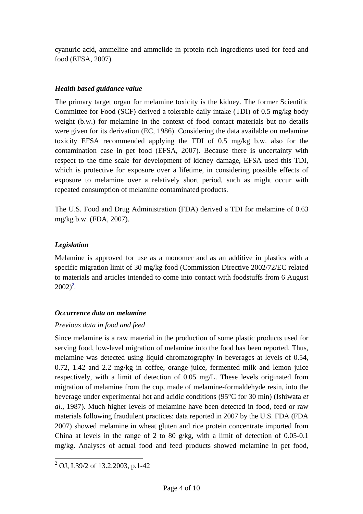cyanuric acid, ammeline and ammelide in protein rich ingredients used for feed and food (EFSA, 2007).

#### *Health based guidance value*

The primary target organ for melamine toxicity is the kidney. The former Scientific Committee for Food (SCF) derived a tolerable daily intake (TDI) of 0.5 mg/kg body weight (b.w.) for melamine in the context of food contact materials but no details were given for its derivation (EC, 1986). Considering the data available on melamine toxicity EFSA recommended applying the TDI of 0.5 mg/kg b.w. also for the contamination case in pet food (EFSA, 2007). Because there is uncertainty with respect to the time scale for development of kidney damage, EFSA used this TDI, which is protective for exposure over a lifetime, in considering possible effects of exposure to melamine over a relatively short period, such as might occur with repeated consumption of melamine contaminated products.

The U.S. Food and Drug Administration (FDA) derived a TDI for melamine of 0.63 mg/kg b.w. (FDA, 2007).

## *Legislation*

Melamine is approved for use as a monomer and as an additive in plastics with a specific migration limit of 30 mg/kg food (Commission Directive 2002/72/EC related to materials and articles intended to come into contact with foodstuffs from 6 August  $2002)^2$ .

## *Occurrence data on melamine*

## *Previous data in food and feed*

Since melamine is a raw material in the production of some plastic products used for serving food, low-level migration of melamine into the food has been reported. Thus, melamine was detected using liquid chromatography in beverages at levels of 0.54, 0.72, 1.42 and 2.2 mg/kg in coffee, orange juice, fermented milk and lemon juice respectively, with a limit of detection of 0.05 mg/L. These levels originated from migration of melamine from the cup, made of melamine-formaldehyde resin, into the beverage under experimental hot and acidic conditions (95°C for 30 min) (Ishiwata *et al.*, 1987). Much higher levels of melamine have been detected in food, feed or raw materials following fraudulent practices: data reported in 2007 by the U.S. FDA (FDA 2007) showed melamine in wheat gluten and rice protein concentrate imported from China at levels in the range of 2 to 80 g/kg, with a limit of detection of 0.05-0.1 mg/kg. Analyses of actual food and feed products showed melamine in pet food,

<sup>2</sup> OJ, L39/2 of 13.2.2003, p.1-42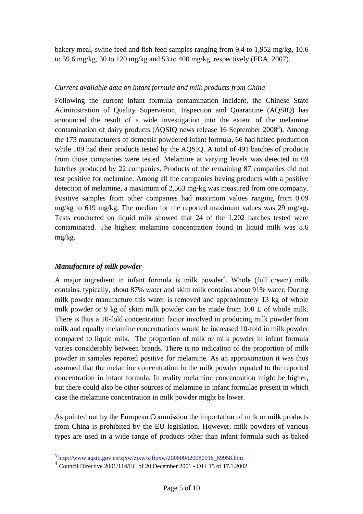bakery meal, swine feed and fish feed samples ranging from 9.4 to 1,952 mg/kg, 10.6 to 59.6 mg/kg, 30 to 120 mg/kg and 53 to 400 mg/kg, respectively (FDA, 2007).

#### *Current available data on infant formula and milk products from China*

Following the current infant formula contamination incident, the Chinese State Administration of Quality Supervision, Inspection and Quarantine (AQSIQ) has announced the result of a wide investigation into the extent of the melamine contamination of dairy products (AQSIQ news release 16 September 2008<sup>3</sup>). Among the 175 manufacturers of domestic powdered infant formula, 66 had halted production while 109 had their products tested by the AQSIQ. A total of 491 batches of products from those companies were tested. Melamine at varying levels was detected in 69 batches produced by 22 companies. Products of the remaining 87 companies did not test positive for melamine. Among all the companies having products with a positive detection of melamine, a maximum of 2,563 mg/kg was measured from one company. Positive samples from other companies had maximum values ranging from 0.09 mg/kg to 619 mg/kg. The median for the reported maximum values was 29 mg/kg. Tests conducted on liquid milk showed that 24 of the 1,202 batches tested were contaminated. The highest melamine concentration found in liquid milk was 8.6 mg/kg.

## *Manufacture of milk powder*

A major ingredient in infant formula is milk powder<sup>4</sup>. Whole (full cream) milk contains, typically, about 87% water and skim milk contains about 91% water. During milk powder manufacture this water is removed and approximately 13 kg of whole milk powder or 9 kg of skim milk powder can be made from 100 L of whole milk. There is thus a 10-fold concentration factor involved in producing milk powder from milk and equally melamine concentrations would be increased 10-fold in milk powder compared to liquid milk. The proportion of milk or milk powder in infant formula varies considerably between brands. There is no indication of the proportion of milk powder in samples reported positive for melamine. As an approximation it was thus assumed that the melamine concentration in the milk powder equated to the reported concentration in infant formula. In reality melamine concentration might be higher, but there could also be other sources of melamine in infant formulae present in which case the melamine concentration in milk powder might be lower.

As pointed out by the European Commission the importation of milk or milk products from China is prohibited by the EU legislation. However, milk powders of various types are used in a wide range of products other than infant formula such as baked

 $\overline{a}$  $3 \frac{\text{http://www.aqsiq.gov.cn/zjxw/zjxw/zjftpxw/200809/t20080916-89958.html}{h}$ 

<sup>4</sup> Council Directive 2001/114/EC of 20 December 2001 - OJ L15 of 17.1.2002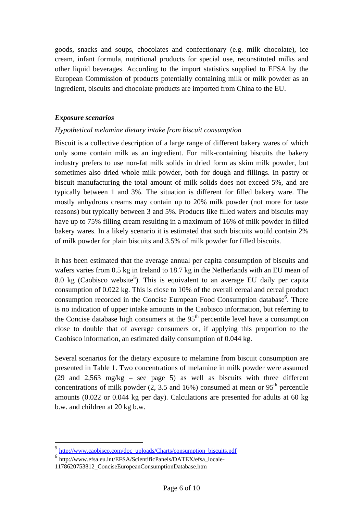goods, snacks and soups, chocolates and confectionary (e.g. milk chocolate), ice cream, infant formula, nutritional products for special use, reconstituted milks and other liquid beverages. According to the import statistics supplied to EFSA by the European Commission of products potentially containing milk or milk powder as an ingredient, biscuits and chocolate products are imported from China to the EU.

#### *Exposure scenarios*

#### *Hypothetical melamine dietary intake from biscuit consumption*

Biscuit is a collective description of a large range of different bakery wares of which only some contain milk as an ingredient. For milk-containing biscuits the bakery industry prefers to use non-fat milk solids in dried form as skim milk powder, but sometimes also dried whole milk powder, both for dough and fillings. In pastry or biscuit manufacturing the total amount of milk solids does not exceed 5%, and are typically between 1 and 3%. The situation is different for filled bakery ware. The mostly anhydrous creams may contain up to 20% milk powder (not more for taste reasons) but typically between 3 and 5%. Products like filled wafers and biscuits may have up to 75% filling cream resulting in a maximum of 16% of milk powder in filled bakery wares. In a likely scenario it is estimated that such biscuits would contain 2% of milk powder for plain biscuits and 3.5% of milk powder for filled biscuits.

It has been estimated that the average annual per capita consumption of biscuits and wafers varies from 0.5 kg in Ireland to 18.7 kg in the Netherlands with an EU mean of 8.0 kg (Caobisco website<sup>5</sup>). This is equivalent to an average EU daily per capita consumption of 0.022 kg. This is close to 10% of the overall cereal and cereal product consumption recorded in the Concise European Food Consumption database<sup>6</sup>. There is no indication of upper intake amounts in the Caobisco information, but referring to the Concise database high consumers at the  $95<sup>th</sup>$  percentile level have a consumption close to double that of average consumers or, if applying this proportion to the Caobisco information, an estimated daily consumption of 0.044 kg.

Several scenarios for the dietary exposure to melamine from biscuit consumption are presented in Table 1. Two concentrations of melamine in milk powder were assumed (29 and 2.563 mg/kg – see page 5) as well as biscuits with three different concentrations of milk powder  $(2, 3.5 \text{ and } 16\%)$  consumed at mean or  $95<sup>th</sup>$  percentile amounts (0.022 or 0.044 kg per day). Calculations are presented for adults at 60 kg b.w. and children at 20 kg b.w.

 $\frac{5}{6}$  http://www.caobisco.com/doc\_uploads/Charts/consumption\_biscuits.pdf 6 http://www.efsa.eu.int/EFSA/ScientificPanels/DATEX/efsa\_locale-

<sup>1178620753812</sup>\_ConciseEuropeanConsumptionDatabase.htm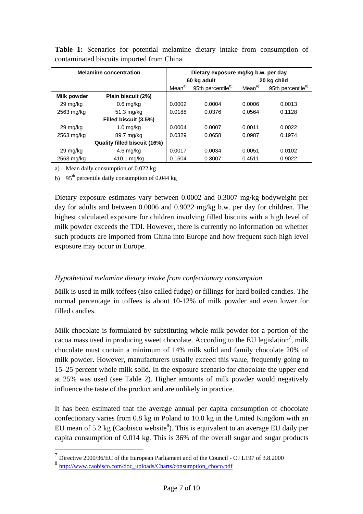| <b>Melamine concentration</b> |                              | Dietary exposure mg/kg b.w. per day |                   |                    |                               |
|-------------------------------|------------------------------|-------------------------------------|-------------------|--------------------|-------------------------------|
|                               |                              | 60 kg adult                         |                   | 20 kg child        |                               |
|                               |                              | Mean <sup>a)</sup>                  | 95th percentileb) | Mean <sup>a)</sup> | 95th percentile <sup>b)</sup> |
| Milk powder                   | Plain biscuit (2%)           |                                     |                   |                    |                               |
| 29 mg/kg                      | $0.6$ mg/kg                  | 0.0002                              | 0.0004            | 0.0006             | 0.0013                        |
| 2563 mg/kg                    | 51.3 mg/kg                   | 0.0188                              | 0.0376            | 0.0564             | 0.1128                        |
|                               | Filled biscuit (3.5%)        |                                     |                   |                    |                               |
| 29 mg/kg                      | $1.0 \text{ mg/kg}$          | 0.0004                              | 0.0007            | 0.0011             | 0.0022                        |
| 2563 mg/kg                    | 89.7 mg/kg                   | 0.0329                              | 0.0658            | 0.0987             | 0.1974                        |
|                               | Quality filled biscuit (16%) |                                     |                   |                    |                               |
| 29 mg/kg                      | 4.6 mg/kg                    | 0.0017                              | 0.0034            | 0.0051             | 0.0102                        |
| 2563 mg/kg                    | 410.1 mg/kg                  | 0.1504                              | 0.3007            | 0.4511             | 0.9022                        |

**Table 1:** Scenarios for potential melamine dietary intake from consumption of contaminated biscuits imported from China.

a) Mean daily consumption of 0.022 kg

b) 95<sup>th</sup> percentile daily consumption of 0.044 kg

Dietary exposure estimates vary between 0.0002 and 0.3007 mg/kg bodyweight per day for adults and between 0.0006 and 0.9022 mg/kg b.w. per day for children. The highest calculated exposure for children involving filled biscuits with a high level of milk powder exceeds the TDI. However, there is currently no information on whether such products are imported from China into Europe and how frequent such high level exposure may occur in Europe.

## *Hypothetical melamine dietary intake from confectionary consumption*

Milk is used in milk toffees (also called fudge) or fillings for hard boiled candies. The normal percentage in toffees is about 10-12% of milk powder and even lower for filled candies.

Milk chocolate is formulated by substituting whole milk powder for a portion of the cacoa mass used in producing sweet chocolate. According to the EU legislation<sup>7</sup>, milk chocolate must contain a minimum of 14% milk solid and family chocolate 20% of milk powder. However, manufacturers usually exceed this value, frequently going to 15–25 percent whole milk solid. In the exposure scenario for chocolate the upper end at 25% was used (see Table 2). Higher amounts of milk powder would negatively influence the taste of the product and are unlikely in practice.

It has been estimated that the average annual per capita consumption of chocolate confectionary varies from 0.8 kg in Poland to 10.0 kg in the United Kingdom with an EU mean of 5.2 kg (Caobisco website<sup>8</sup>). This is equivalent to an average EU daily per capita consumption of 0.014 kg. This is 36% of the overall sugar and sugar products

<sup>7</sup> Directive 2000/36/EC of the European Parliament and of the Council - OJ L197 of 3.8.2000

<sup>8</sup> http://www.caobisco.com/doc\_uploads/Charts/consumption\_choco.pdf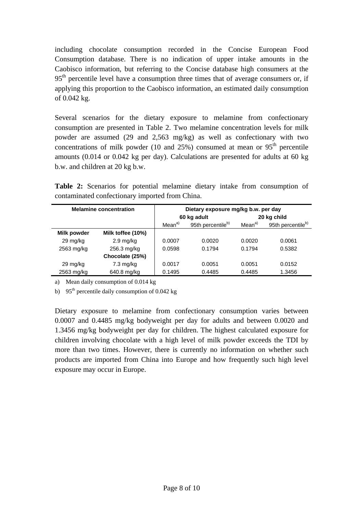including chocolate consumption recorded in the Concise European Food Consumption database. There is no indication of upper intake amounts in the Caobisco information, but referring to the Concise database high consumers at the  $95<sup>th</sup>$  percentile level have a consumption three times that of average consumers or, if applying this proportion to the Caobisco information, an estimated daily consumption of 0.042 kg.

Several scenarios for the dietary exposure to melamine from confectionary consumption are presented in Table 2. Two melamine concentration levels for milk powder are assumed (29 and 2,563 mg/kg) as well as confectionary with two concentrations of milk powder (10 and 25%) consumed at mean or  $95<sup>th</sup>$  percentile amounts (0.014 or 0.042 kg per day). Calculations are presented for adults at 60 kg b.w. and children at 20 kg b.w.

**Table 2:** Scenarios for potential melamine dietary intake from consumption of contaminated confectionary imported from China.

| <b>Melamine concentration</b> |                     | Dietary exposure mg/kg b.w. per day |                   |                    |                               |  |
|-------------------------------|---------------------|-------------------------------------|-------------------|--------------------|-------------------------------|--|
|                               |                     | 60 kg adult                         |                   | 20 kg child        |                               |  |
|                               |                     | Mean <sup>a)</sup>                  | 95th percentileb) | Mean <sup>a)</sup> | 95th percentile <sup>b)</sup> |  |
| Milk powder                   | Milk toffee (10%)   |                                     |                   |                    |                               |  |
| 29 mg/kg                      | $2.9 \text{ mg/kg}$ | 0.0007                              | 0.0020            | 0.0020             | 0.0061                        |  |
| 2563 mg/kg                    | 256.3 mg/kg         | 0.0598                              | 0.1794            | 0.1794             | 0.5382                        |  |
|                               | Chocolate (25%)     |                                     |                   |                    |                               |  |
| 29 mg/kg                      | $7.3 \text{ mg/kg}$ | 0.0017                              | 0.0051            | 0.0051             | 0.0152                        |  |
| 2563 mg/kg                    | 640.8 mg/kg         | 0.1495                              | 0.4485            | 0.4485             | 1.3456                        |  |

a) Mean daily consumption of 0.014 kg

b) 95<sup>th</sup> percentile daily consumption of 0.042 kg

Dietary exposure to melamine from confectionary consumption varies between 0.0007 and 0.4485 mg/kg bodyweight per day for adults and between 0.0020 and 1.3456 mg/kg bodyweight per day for children. The highest calculated exposure for children involving chocolate with a high level of milk powder exceeds the TDI by more than two times. However, there is currently no information on whether such products are imported from China into Europe and how frequently such high level exposure may occur in Europe.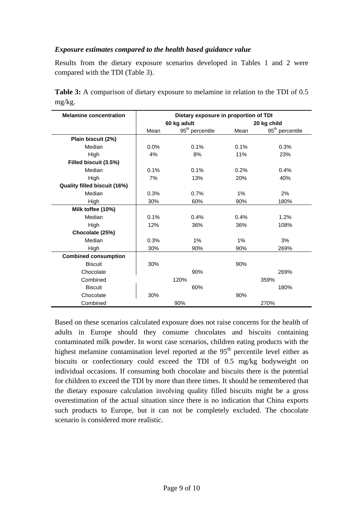#### *Exposure estimates compared to the health based guidance value*

Results from the dietary exposure scenarios developed in Tables 1 and 2 were compared with the TDI (Table 3).

| <b>Table 3:</b> A comparison of dietary exposure to melamine in relation to the TDI of 0.5 |  |
|--------------------------------------------------------------------------------------------|--|
| $mg/kg$ .                                                                                  |  |

| <b>Melamine concentration</b> | Dietary exposure in proportion of TDI |                             |             |                             |
|-------------------------------|---------------------------------------|-----------------------------|-------------|-----------------------------|
|                               | 60 kg adult                           |                             | 20 kg child |                             |
|                               | Mean                                  | 95 <sup>th</sup> percentile | Mean        | 95 <sup>th</sup> percentile |
| Plain biscuit (2%)            |                                       |                             |             |                             |
| Median                        | 0.0%                                  | 0.1%                        | 0.1%        | 0.3%                        |
| High                          | 4%                                    | 8%                          | 11%         | 23%                         |
| Filled biscuit (3.5%)         |                                       |                             |             |                             |
| Median                        | 0.1%                                  | 0.1%                        | 0.2%        | 0.4%                        |
| High                          | 7%                                    | 13%                         | 20%         | 40%                         |
| Quality filled biscuit (16%)  |                                       |                             |             |                             |
| Median                        | 0.3%                                  | 0.7%                        | 1%          | 2%                          |
| High                          | 30%                                   | 60%                         | 90%         | 180%                        |
| Milk toffee (10%)             |                                       |                             |             |                             |
| Median                        | 0.1%                                  | 0.4%                        | 0.4%        | 1.2%                        |
| High                          | 12%                                   | 36%                         | 36%         | 108%                        |
| Chocolate (25%)               |                                       |                             |             |                             |
| Median                        | 0.3%                                  | 1%                          | $1\%$       | 3%                          |
| High                          | 30%                                   | 90%                         | 90%         | 269%                        |
| <b>Combined consumption</b>   |                                       |                             |             |                             |
| <b>Biscuit</b>                | 30%                                   |                             | 90%         |                             |
| Chocolate                     |                                       | 90%                         |             | 269%                        |
| Combined                      |                                       | 120%                        |             | 359%                        |
| <b>Biscuit</b>                |                                       | 60%                         |             | 180%                        |
| Chocolate                     | 30%                                   |                             | 90%         |                             |
| Combined                      |                                       | 90%                         |             | 270%                        |

Based on these scenarios calculated exposure does not raise concerns for the health of adults in Europe should they consume chocolates and biscuits containing contaminated milk powder. In worst case scenarios, children eating products with the highest melamine contamination level reported at the  $95<sup>th</sup>$  percentile level either as biscuits or confectionary could exceed the TDI of 0.5 mg/kg bodyweight on individual occasions. If consuming both chocolate and biscuits there is the potential for children to exceed the TDI by more than three times. It should be remembered that the dietary exposure calculation involving quality filled biscuits might be a gross overestimation of the actual situation since there is no indication that China exports such products to Europe, but it can not be completely excluded. The chocolate scenario is considered more realistic.